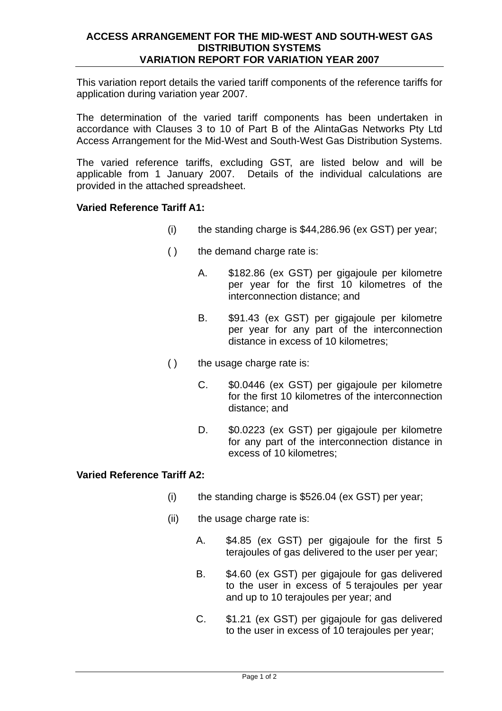# **ACCESS ARRANGEMENT FOR THE MID-WEST AND SOUTH-WEST GAS DISTRIBUTION SYSTEMS VARIATION REPORT FOR VARIATION YEAR 2007**

This variation report details the varied tariff components of the reference tariffs for application during variation year 2007.

The determination of the varied tariff components has been undertaken in accordance with Clauses 3 to 10 of Part B of the AlintaGas Networks Pty Ltd Access Arrangement for the Mid-West and South-West Gas Distribution Systems.

The varied reference tariffs, excluding GST, are listed below and will be applicable from 1 January 2007. Details of the individual calculations are provided in the attached spreadsheet.

# **Varied Reference Tariff A1:**

- (i) the standing charge is \$44,286.96 (ex GST) per year;
- () the demand charge rate is:
	- A. \$182.86 (ex GST) per gigajoule per kilometre per year for the first 10 kilometres of the interconnection distance; and
	- B. \$91.43 (ex GST) per gigajoule per kilometre per year for any part of the interconnection distance in excess of 10 kilometres;
- () the usage charge rate is:
	- C. \$0.0446 (ex GST) per gigajoule per kilometre for the first 10 kilometres of the interconnection distance; and
	- D. \$0.0223 (ex GST) per gigajoule per kilometre for any part of the interconnection distance in excess of 10 kilometres;

# **Varied Reference Tariff A2:**

- $(i)$  the standing charge is \$526.04 (ex GST) per year;
- (ii) the usage charge rate is:
	- A. \$4.85 (ex GST) per gigajoule for the first 5 terajoules of gas delivered to the user per year;
	- B. \$4.60 (ex GST) per gigajoule for gas delivered to the user in excess of 5 terajoules per year and up to 10 terajoules per year; and
	- C. \$1.21 (ex GST) per gigajoule for gas delivered to the user in excess of 10 terajoules per year;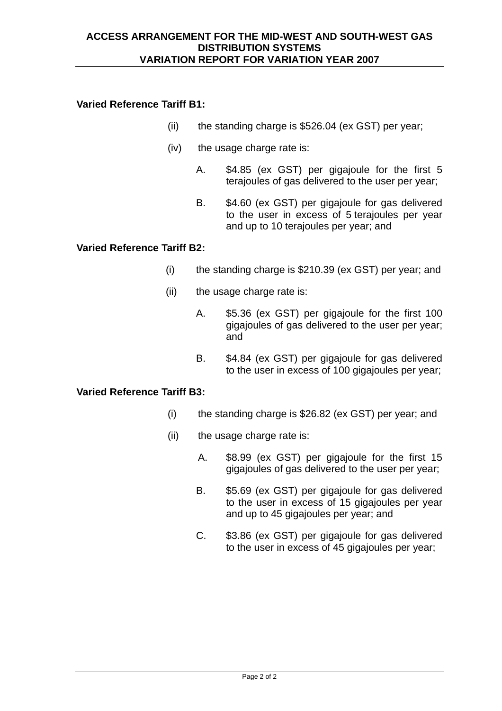# **Varied Reference Tariff B1:**

- (ii) the standing charge is \$526.04 (ex GST) per year;
- (iv) the usage charge rate is:
	- A. \$4.85 (ex GST) per gigajoule for the first 5 terajoules of gas delivered to the user per year;
	- B. \$4.60 (ex GST) per gigatioule for gas delivered to the user in excess of 5 terajoules per year and up to 10 terajoules per year; and

# **Varied Reference Tariff B2:**

- (i) the standing charge is \$210.39 (ex GST) per year; and
- (ii) the usage charge rate is:
	- A. \$5.36 (ex GST) per gigajoule for the first 100 gigajoules of gas delivered to the user per year; and
	- B. \$4.84 (ex GST) per gigajoule for gas delivered to the user in excess of 100 gigajoules per year;

### **Varied Reference Tariff B3:**

- (i) the standing charge is \$26.82 (ex GST) per year; and
- (ii) the usage charge rate is:
	- A. \$8.99 (ex GST) per gigajoule for the first 15 gigajoules of gas delivered to the user per year;
	- B. \$5.69 (ex GST) per gigajoule for gas delivered to the user in excess of 15 gigajoules per year and up to 45 gigajoules per year; and
	- C. \$3.86 (ex GST) per gigajoule for gas delivered to the user in excess of 45 gigajoules per year;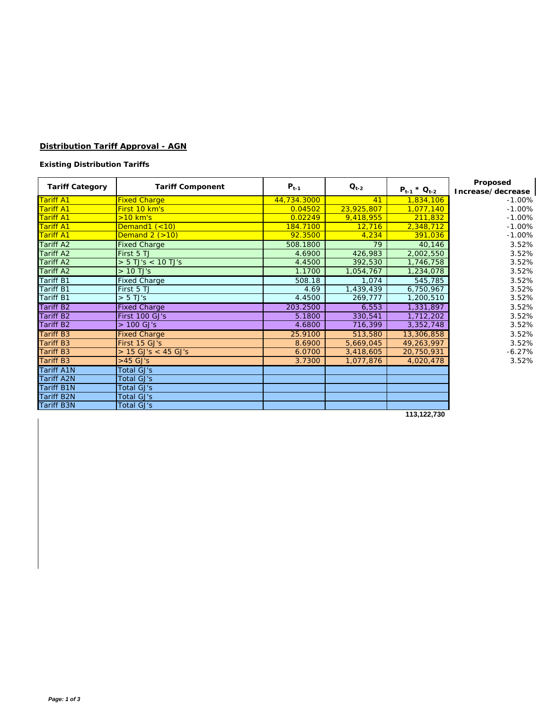# **Distribution Tariff Approval - AGN**

### **Existing Distribution Tariffs**

| <b>Tariff Category</b> | <b>Tariff Component</b> | $P_{t-1}$   | $Q_{t-2}$  | $P_{t-1} * Q_{t-2}$ | Proposed<br>Increase/decrease |
|------------------------|-------------------------|-------------|------------|---------------------|-------------------------------|
| <b>Tariff A1</b>       | <b>Fixed Charge</b>     | 44,734.3000 | 41         | 1,834,106           | $-1.00%$                      |
| <b>Tariff A1</b>       | First 10 km's           | 0.04502     | 23,925,807 | 1,077,140           | $-1.00%$                      |
| <b>Tariff A1</b>       | $>10$ km's              | 0.02249     | 9,418,955  | 211,832             | $-1.00%$                      |
| <b>Tariff A1</b>       | Demand1 $(< 10)$        | 184.7100    | 12,716     | 2,348,712           | $-1.00%$                      |
| <b>Tariff A1</b>       | Demand $2$ $(>10)$      | 92.3500     | 4,234      | 391,036             | $-1.00%$                      |
| <b>Tariff A2</b>       | <b>Fixed Charge</b>     | 508.1800    | 79         | 40,146              | 3.52%                         |
| <b>Tariff A2</b>       | First 5 TJ              | 4.6900      | 426,983    | 2,002,550           | 3.52%                         |
| <b>Tariff A2</b>       | $> 5$ TJ's $< 10$ TJ's  | 4.4500      | 392,530    | 1,746,758           | 3.52%                         |
| <b>Tariff A2</b>       | $>10$ TJ's              | 1.1700      | 1,054,767  | 1,234,078           | 3.52%                         |
| <b>Tariff B1</b>       | <b>Fixed Charge</b>     | 508.18      | 1,074      | 545,785             | 3.52%                         |
| <b>Tariff B1</b>       | First 5 TJ              | 4.69        | 1,439,439  | 6,750,967           | 3.52%                         |
| <b>Tariff B1</b>       | $> 5$ TJ's              | 4.4500      | 269,777    | 1,200,510           | 3.52%                         |
| <b>Tariff B2</b>       | <b>Fixed Charge</b>     | 203.2500    | 6,553      | 1,331,897           | 3.52%                         |
| <b>Tariff B2</b>       | First 100 GJ's          | 5.1800      | 330,541    | 1,712,202           | 3.52%                         |
| <b>Tariff B2</b>       | $> 100$ GJ's            | 4.6800      | 716,399    | 3,352,748           | 3.52%                         |
| <b>Tariff B3</b>       | <b>Fixed Charge</b>     | 25.9100     | 513,580    | 13,306,858          | 3.52%                         |
| <b>Tariff B3</b>       | First 15 GJ's           | 8.6900      | 5,669,045  | 49,263,997          | 3.52%                         |
| <b>Tariff B3</b>       | $> 15$ GJ's < 45 GJ's   | 6.0700      | 3,418,605  | 20,750,931          | $-6.27%$                      |
| <b>Tariff B3</b>       | $>45$ GJ's              | 3.7300      | 1,077,876  | 4,020,478           | 3.52%                         |
| <b>Tariff A1N</b>      | <b>Total GJ's</b>       |             |            |                     |                               |
| <b>Tariff A2N</b>      | Total GJ's              |             |            |                     |                               |
| <b>Tariff B1N</b>      | <b>Total GJ's</b>       |             |            |                     |                               |
| <b>Tariff B2N</b>      | Total GJ's              |             |            |                     |                               |
| <b>Tariff B3N</b>      | <b>Total GJ's</b>       |             |            |                     |                               |

 **113,122,730**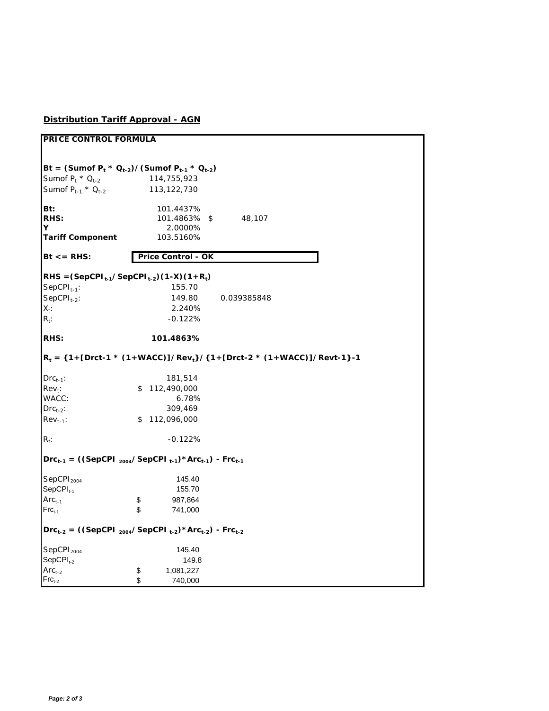# **Distribution Tariff Approval - AGN**

| Bt = (Sumof $P_t * Q_{t-2}$ )/(Sumof $P_{t-1} * Q_{t-2}$ )<br>Sumof $P_1 * Q_{1,2}$<br>114,755,923<br>Sumof $P_{t-1}$ * $Q_{t-2}$<br>113, 122, 730<br>Bt:<br>101.4437%<br>RHS:<br>101.4863% \$<br>48,107<br>Y<br>2.0000%<br><b>Tariff Component</b><br>103.5160%<br>$Bt \leq RHS$ :<br>Price Control - OK<br>$RHS = (SepCPI_{t-1}/SepCPI_{t-2})(1-X)(1+R_t)$<br>$SepCPI_{t-1}$ :<br>155.70<br>$SepCPI_{t-2}$ :<br>149.80<br>0.039385848<br>$X_t$ :<br>2.240%<br>$R_t$ :<br>$-0.122%$<br>RHS:<br>101.4863%<br>$R_t =$ {1+[Drct-1 * (1+WACC)]/Rev <sub>t</sub> }/{1+[Drct-2 * (1+WACC)]/Revt-1}-1<br>$Drc_{t-1}$ :<br>181,514<br>\$112,490,000<br>$Rev_t$ :<br>WACC:<br>6.78%<br>309,469<br>$DrC_{t-2}$ :<br>\$112,096,000<br>$\mathsf{Rev}_{t-1}:$<br>$R_t$ :<br>$-0.122%$<br>$Drc_{t-1}$ = ((SepCPI <sub>2004</sub> /SepCPI <sub>t-1</sub> ) * Arc <sub>t-1</sub> ) - Frc <sub>t-1</sub><br>SepCPI <sub>2004</sub><br>145.40<br>SepCPI <sub>t-1</sub><br>155.70<br>$Arct-1$<br>\$<br>987,864<br>\$<br>$Frc_{t-1}$<br>741,000<br>$Drc_{t-2} = ((SepCPI_{2004}/SepCPI_{t-2}) * Arc_{t-2}) - Frc_{t-2}$<br>SepCPI <sub>2004</sub><br>145.40<br>$SepCPIt-2$<br>149.8<br>$Arct-2$<br>\$<br>1,081,227<br>\$<br>$Frc_{t-2}$<br>740,000 | PRICE CONTROL FORMULA |  |  |  |
|---------------------------------------------------------------------------------------------------------------------------------------------------------------------------------------------------------------------------------------------------------------------------------------------------------------------------------------------------------------------------------------------------------------------------------------------------------------------------------------------------------------------------------------------------------------------------------------------------------------------------------------------------------------------------------------------------------------------------------------------------------------------------------------------------------------------------------------------------------------------------------------------------------------------------------------------------------------------------------------------------------------------------------------------------------------------------------------------------------------------------------------------------------------------------------------------------------------------------------|-----------------------|--|--|--|
|                                                                                                                                                                                                                                                                                                                                                                                                                                                                                                                                                                                                                                                                                                                                                                                                                                                                                                                                                                                                                                                                                                                                                                                                                                 |                       |  |  |  |
|                                                                                                                                                                                                                                                                                                                                                                                                                                                                                                                                                                                                                                                                                                                                                                                                                                                                                                                                                                                                                                                                                                                                                                                                                                 |                       |  |  |  |
|                                                                                                                                                                                                                                                                                                                                                                                                                                                                                                                                                                                                                                                                                                                                                                                                                                                                                                                                                                                                                                                                                                                                                                                                                                 |                       |  |  |  |
|                                                                                                                                                                                                                                                                                                                                                                                                                                                                                                                                                                                                                                                                                                                                                                                                                                                                                                                                                                                                                                                                                                                                                                                                                                 |                       |  |  |  |
|                                                                                                                                                                                                                                                                                                                                                                                                                                                                                                                                                                                                                                                                                                                                                                                                                                                                                                                                                                                                                                                                                                                                                                                                                                 |                       |  |  |  |
|                                                                                                                                                                                                                                                                                                                                                                                                                                                                                                                                                                                                                                                                                                                                                                                                                                                                                                                                                                                                                                                                                                                                                                                                                                 |                       |  |  |  |
|                                                                                                                                                                                                                                                                                                                                                                                                                                                                                                                                                                                                                                                                                                                                                                                                                                                                                                                                                                                                                                                                                                                                                                                                                                 |                       |  |  |  |
|                                                                                                                                                                                                                                                                                                                                                                                                                                                                                                                                                                                                                                                                                                                                                                                                                                                                                                                                                                                                                                                                                                                                                                                                                                 |                       |  |  |  |
|                                                                                                                                                                                                                                                                                                                                                                                                                                                                                                                                                                                                                                                                                                                                                                                                                                                                                                                                                                                                                                                                                                                                                                                                                                 |                       |  |  |  |
|                                                                                                                                                                                                                                                                                                                                                                                                                                                                                                                                                                                                                                                                                                                                                                                                                                                                                                                                                                                                                                                                                                                                                                                                                                 |                       |  |  |  |
|                                                                                                                                                                                                                                                                                                                                                                                                                                                                                                                                                                                                                                                                                                                                                                                                                                                                                                                                                                                                                                                                                                                                                                                                                                 |                       |  |  |  |
|                                                                                                                                                                                                                                                                                                                                                                                                                                                                                                                                                                                                                                                                                                                                                                                                                                                                                                                                                                                                                                                                                                                                                                                                                                 |                       |  |  |  |
|                                                                                                                                                                                                                                                                                                                                                                                                                                                                                                                                                                                                                                                                                                                                                                                                                                                                                                                                                                                                                                                                                                                                                                                                                                 |                       |  |  |  |
|                                                                                                                                                                                                                                                                                                                                                                                                                                                                                                                                                                                                                                                                                                                                                                                                                                                                                                                                                                                                                                                                                                                                                                                                                                 |                       |  |  |  |
|                                                                                                                                                                                                                                                                                                                                                                                                                                                                                                                                                                                                                                                                                                                                                                                                                                                                                                                                                                                                                                                                                                                                                                                                                                 |                       |  |  |  |
|                                                                                                                                                                                                                                                                                                                                                                                                                                                                                                                                                                                                                                                                                                                                                                                                                                                                                                                                                                                                                                                                                                                                                                                                                                 |                       |  |  |  |
|                                                                                                                                                                                                                                                                                                                                                                                                                                                                                                                                                                                                                                                                                                                                                                                                                                                                                                                                                                                                                                                                                                                                                                                                                                 |                       |  |  |  |
|                                                                                                                                                                                                                                                                                                                                                                                                                                                                                                                                                                                                                                                                                                                                                                                                                                                                                                                                                                                                                                                                                                                                                                                                                                 |                       |  |  |  |
|                                                                                                                                                                                                                                                                                                                                                                                                                                                                                                                                                                                                                                                                                                                                                                                                                                                                                                                                                                                                                                                                                                                                                                                                                                 |                       |  |  |  |
|                                                                                                                                                                                                                                                                                                                                                                                                                                                                                                                                                                                                                                                                                                                                                                                                                                                                                                                                                                                                                                                                                                                                                                                                                                 |                       |  |  |  |
|                                                                                                                                                                                                                                                                                                                                                                                                                                                                                                                                                                                                                                                                                                                                                                                                                                                                                                                                                                                                                                                                                                                                                                                                                                 |                       |  |  |  |
|                                                                                                                                                                                                                                                                                                                                                                                                                                                                                                                                                                                                                                                                                                                                                                                                                                                                                                                                                                                                                                                                                                                                                                                                                                 |                       |  |  |  |
|                                                                                                                                                                                                                                                                                                                                                                                                                                                                                                                                                                                                                                                                                                                                                                                                                                                                                                                                                                                                                                                                                                                                                                                                                                 |                       |  |  |  |
|                                                                                                                                                                                                                                                                                                                                                                                                                                                                                                                                                                                                                                                                                                                                                                                                                                                                                                                                                                                                                                                                                                                                                                                                                                 |                       |  |  |  |
|                                                                                                                                                                                                                                                                                                                                                                                                                                                                                                                                                                                                                                                                                                                                                                                                                                                                                                                                                                                                                                                                                                                                                                                                                                 |                       |  |  |  |
|                                                                                                                                                                                                                                                                                                                                                                                                                                                                                                                                                                                                                                                                                                                                                                                                                                                                                                                                                                                                                                                                                                                                                                                                                                 |                       |  |  |  |
|                                                                                                                                                                                                                                                                                                                                                                                                                                                                                                                                                                                                                                                                                                                                                                                                                                                                                                                                                                                                                                                                                                                                                                                                                                 |                       |  |  |  |
|                                                                                                                                                                                                                                                                                                                                                                                                                                                                                                                                                                                                                                                                                                                                                                                                                                                                                                                                                                                                                                                                                                                                                                                                                                 |                       |  |  |  |
|                                                                                                                                                                                                                                                                                                                                                                                                                                                                                                                                                                                                                                                                                                                                                                                                                                                                                                                                                                                                                                                                                                                                                                                                                                 |                       |  |  |  |
|                                                                                                                                                                                                                                                                                                                                                                                                                                                                                                                                                                                                                                                                                                                                                                                                                                                                                                                                                                                                                                                                                                                                                                                                                                 |                       |  |  |  |
|                                                                                                                                                                                                                                                                                                                                                                                                                                                                                                                                                                                                                                                                                                                                                                                                                                                                                                                                                                                                                                                                                                                                                                                                                                 |                       |  |  |  |
|                                                                                                                                                                                                                                                                                                                                                                                                                                                                                                                                                                                                                                                                                                                                                                                                                                                                                                                                                                                                                                                                                                                                                                                                                                 |                       |  |  |  |
|                                                                                                                                                                                                                                                                                                                                                                                                                                                                                                                                                                                                                                                                                                                                                                                                                                                                                                                                                                                                                                                                                                                                                                                                                                 |                       |  |  |  |